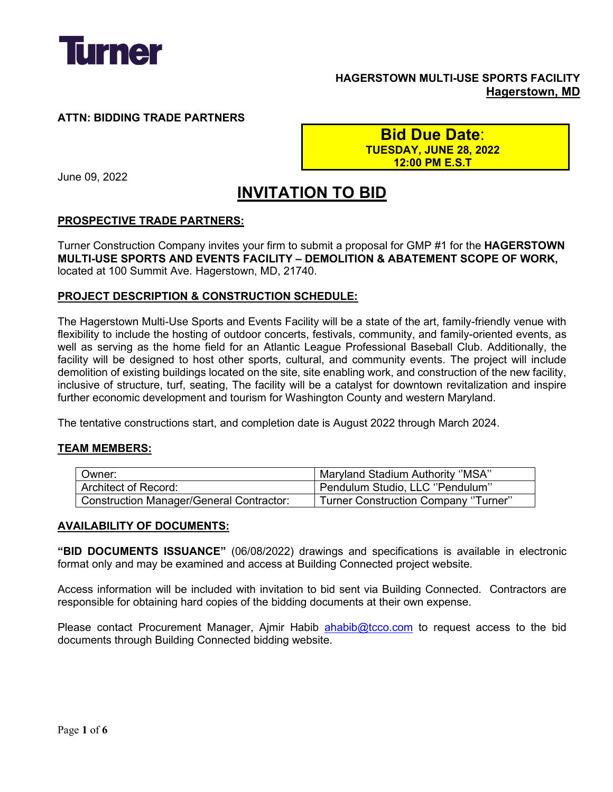

## **HAGERSTOWN MULTI-USE SPORTS FACILITY Hagerstown, MD**

### **ATTN: BIDDING TRADE PARTNERS**

**Bid Due Date**: **TUESDAY, JUNE 28, 2022 12:00 PM E.S.T**

June 09, 2022

# **INVITATION TO BID**

#### **PROSPECTIVE TRADE PARTNERS:**

Turner Construction Company invites your firm to submit a proposal for GMP #1 for the **HAGERSTOWN MULTI-USE SPORTS AND EVENTS FACILITY – DEMOLITION & ABATEMENT SCOPE OF WORK,** located at 100 Summit Ave. Hagerstown, MD, 21740.

#### **PROJECT DESCRIPTION & CONSTRUCTION SCHEDULE:**

The Hagerstown Multi-Use Sports and Events Facility will be a state of the art, family-friendly venue with flexibility to include the hosting of outdoor concerts, festivals, community, and family-oriented events, as well as serving as the home field for an Atlantic League Professional Baseball Club. Additionally, the facility will be designed to host other sports, cultural, and community events. The project will include demolition of existing buildings located on the site, site enabling work, and construction of the new facility, inclusive of structure, turf, seating, The facility will be a catalyst for downtown revitalization and inspire further economic development and tourism for Washington County and western Maryland.

The tentative constructions start, and completion date is August 2022 through March 2024.

#### **TEAM MEMBERS:**

| Owner:                                          | Maryland Stadium Authority "MSA"     |  |
|-------------------------------------------------|--------------------------------------|--|
| Architect of Record:                            | Pendulum Studio, LLC "Pendulum"      |  |
| <b>Construction Manager/General Contractor:</b> | Turner Construction Company "Turner" |  |

#### **AVAILABILITY OF DOCUMENTS:**

**"BID DOCUMENTS ISSUANCE"** (06/08/2022) drawings and specifications is available in electronic format only and may be examined and access at Building Connected project website.

Access information will be included with invitation to bid sent via Building Connected. Contractors are responsible for obtaining hard copies of the bidding documents at their own expense.

Please contact Procurement Manager, Ajmir Habib ahabib@tcco.com to request access to the bid documents through Building Connected bidding website.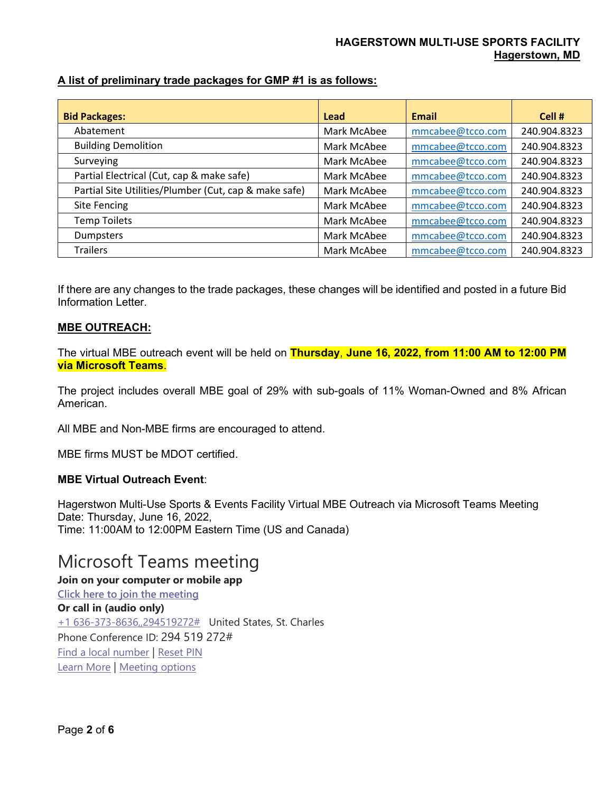## **A list of preliminary trade packages for GMP #1 is as follows:**

| <b>Bid Packages:</b>                                  | Lead        | <b>Email</b>     | Cell #       |
|-------------------------------------------------------|-------------|------------------|--------------|
| Abatement                                             | Mark McAbee | mmcabee@tcco.com | 240.904.8323 |
| <b>Building Demolition</b>                            | Mark McAbee | mmcabee@tcco.com | 240.904.8323 |
| Surveying                                             | Mark McAbee | mmcabee@tcco.com | 240.904.8323 |
| Partial Electrical (Cut, cap & make safe)             | Mark McAbee | mmcabee@tcco.com | 240.904.8323 |
| Partial Site Utilities/Plumber (Cut, cap & make safe) | Mark McAbee | mmcabee@tcco.com | 240.904.8323 |
| <b>Site Fencing</b>                                   | Mark McAbee | mmcabee@tcco.com | 240.904.8323 |
| <b>Temp Toilets</b>                                   | Mark McAbee | mmcabee@tcco.com | 240.904.8323 |
| <b>Dumpsters</b>                                      | Mark McAbee | mmcabee@tcco.com | 240.904.8323 |
| <b>Trailers</b>                                       | Mark McAbee | mmcabee@tcco.com | 240.904.8323 |

If there are any changes to the trade packages, these changes will be identified and posted in a future Bid Information Letter.

#### **MBE OUTREACH:**

The virtual MBE outreach event will be held on **Thursday**, **June 16, 2022, from 11:00 AM to 12:00 PM via Microsoft Teams**.

The project includes overall MBE goal of 29% with sub-goals of 11% Woman-Owned and 8% African American.

All MBE and Non-MBE firms are encouraged to attend.

MBE firms MUST be MDOT certified.

### **MBE Virtual Outreach Event**:

Hagerstwon Multi-Use Sports & Events Facility Virtual MBE Outreach via Microsoft Teams Meeting Date: Thursday, June 16, 2022, Time: 11:00AM to 12:00PM Eastern Time (US and Canada)

## Microsoft Teams meeting

**Join on your computer or mobile app Click here to join the meeting Or call in (audio only)** +1 636-373-8636,,294519272# United States, St. Charles Phone Conference ID: 294 519 272# Find a local number | Reset PIN Learn More | Meeting options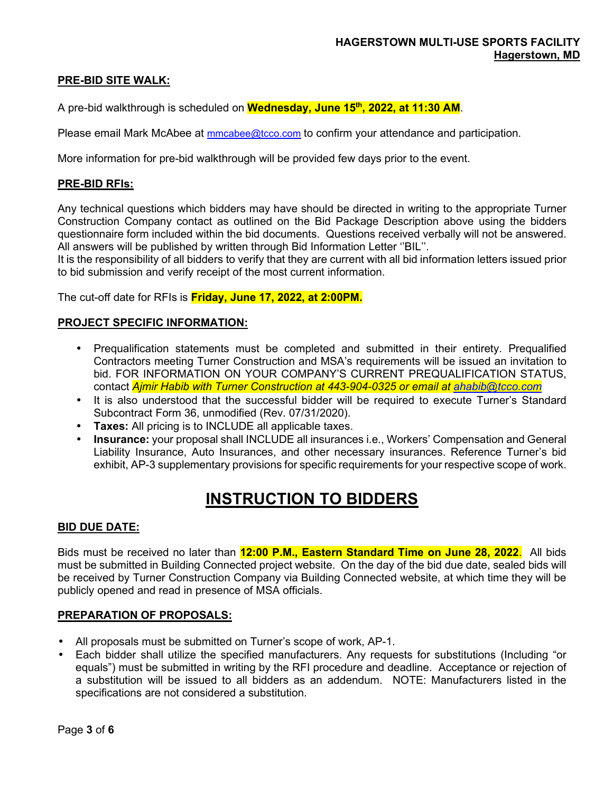#### **PRE-BID SITE WALK:**

A pre-bid walkthrough is scheduled on **Wednesday, June 15th, 2022, at 11:30 AM**.

Please email Mark McAbee at mmcabee@tcco.com to confirm your attendance and participation.

More information for pre-bid walkthrough will be provided few days prior to the event.

#### **PRE-BID RFIs:**

Any technical questions which bidders may have should be directed in writing to the appropriate Turner Construction Company contact as outlined on the Bid Package Description above using the bidders questionnaire form included within the bid documents. Questions received verbally will not be answered. All answers will be published by written through Bid Information Letter ''BIL''.

It is the responsibility of all bidders to verify that they are current with all bid information letters issued prior to bid submission and verify receipt of the most current information.

The cut-off date for RFIs is **Friday, June 17, 2022, at 2:00PM.**

#### **PROJECT SPECIFIC INFORMATION:**

- Prequalification statements must be completed and submitted in their entirety. Prequalified Contractors meeting Turner Construction and MSA's requirements will be issued an invitation to bid. FOR INFORMATION ON YOUR COMPANY'S CURRENT PREQUALIFICATION STATUS, contact *Ajmir Habib with Turner Construction at 443-904-0325 or email at ahabib@tcco.com*
- It is also understood that the successful bidder will be required to execute Turner's Standard Subcontract Form 36, unmodified (Rev. 07/31/2020).
- **Taxes:** All pricing is to INCLUDE all applicable taxes.
- **Insurance:** your proposal shall INCLUDE all insurances i.e., Workers' Compensation and General Liability Insurance, Auto Insurances, and other necessary insurances. Reference Turner's bid exhibit, AP-3 supplementary provisions for specific requirements for your respective scope of work.

## **INSTRUCTION TO BIDDERS**

#### **BID DUE DATE:**

Bids must be received no later than **12:00 P.M., Eastern Standard Time on June 28, 2022**. All bids must be submitted in Building Connected project website. On the day of the bid due date, sealed bids will be received by Turner Construction Company via Building Connected website, at which time they will be publicly opened and read in presence of MSA officials.

#### **PREPARATION OF PROPOSALS:**

- All proposals must be submitted on Turner's scope of work, AP-1.
- Each bidder shall utilize the specified manufacturers. Any requests for substitutions (Including "or equals") must be submitted in writing by the RFI procedure and deadline. Acceptance or rejection of a substitution will be issued to all bidders as an addendum. NOTE: Manufacturers listed in the specifications are not considered a substitution.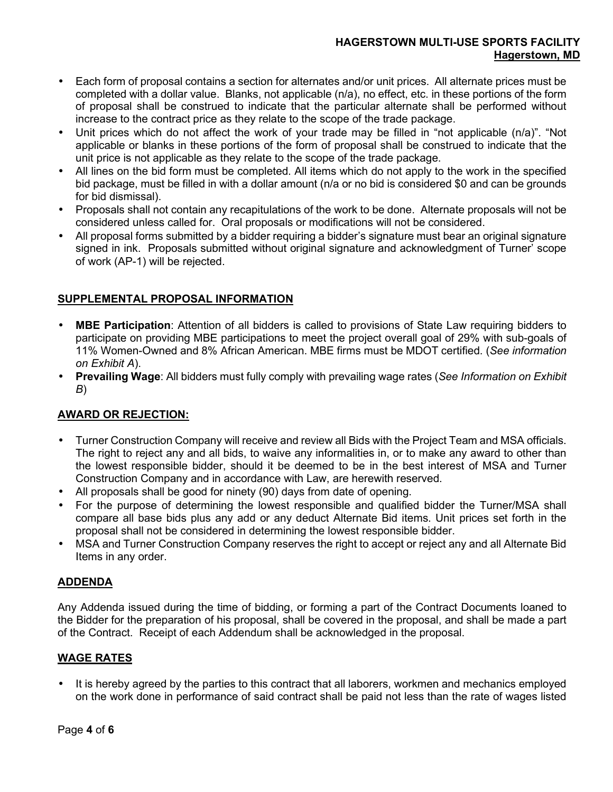### **HAGERSTOWN MULTI-USE SPORTS FACILITY Hagerstown, MD**

- Each form of proposal contains a section for alternates and/or unit prices. All alternate prices must be completed with a dollar value. Blanks, not applicable (n/a), no effect, etc. in these portions of the form of proposal shall be construed to indicate that the particular alternate shall be performed without increase to the contract price as they relate to the scope of the trade package.
- Unit prices which do not affect the work of your trade may be filled in "not applicable (n/a)". "Not applicable or blanks in these portions of the form of proposal shall be construed to indicate that the unit price is not applicable as they relate to the scope of the trade package.
- All lines on the bid form must be completed. All items which do not apply to the work in the specified bid package, must be filled in with a dollar amount (n/a or no bid is considered \$0 and can be grounds for bid dismissal).
- Proposals shall not contain any recapitulations of the work to be done. Alternate proposals will not be considered unless called for. Oral proposals or modifications will not be considered.
- All proposal forms submitted by a bidder requiring a bidder's signature must bear an original signature signed in ink. Proposals submitted without original signature and acknowledgment of Turner' scope of work (AP-1) will be rejected.

### **SUPPLEMENTAL PROPOSAL INFORMATION**

- **MBE Participation**: Attention of all bidders is called to provisions of State Law requiring bidders to participate on providing MBE participations to meet the project overall goal of 29% with sub-goals of 11% Women-Owned and 8% African American. MBE firms must be MDOT certified. (*See information on Exhibit A*).
- **Prevailing Wage**: All bidders must fully comply with prevailing wage rates (*See Information on Exhibit B*)

#### **AWARD OR REJECTION:**

- Turner Construction Company will receive and review all Bids with the Project Team and MSA officials. The right to reject any and all bids, to waive any informalities in, or to make any award to other than the lowest responsible bidder, should it be deemed to be in the best interest of MSA and Turner Construction Company and in accordance with Law, are herewith reserved.
- All proposals shall be good for ninety (90) days from date of opening.
- For the purpose of determining the lowest responsible and qualified bidder the Turner/MSA shall compare all base bids plus any add or any deduct Alternate Bid items. Unit prices set forth in the proposal shall not be considered in determining the lowest responsible bidder.
- MSA and Turner Construction Company reserves the right to accept or reject any and all Alternate Bid Items in any order.

#### **ADDENDA**

Any Addenda issued during the time of bidding, or forming a part of the Contract Documents loaned to the Bidder for the preparation of his proposal, shall be covered in the proposal, and shall be made a part of the Contract. Receipt of each Addendum shall be acknowledged in the proposal.

#### **WAGE RATES**

• It is hereby agreed by the parties to this contract that all laborers, workmen and mechanics employed on the work done in performance of said contract shall be paid not less than the rate of wages listed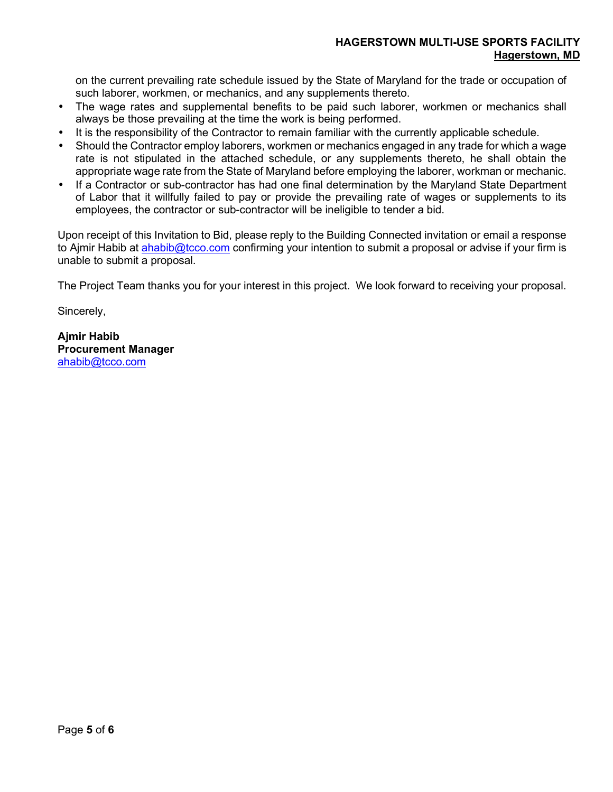on the current prevailing rate schedule issued by the State of Maryland for the trade or occupation of such laborer, workmen, or mechanics, and any supplements thereto.

- The wage rates and supplemental benefits to be paid such laborer, workmen or mechanics shall always be those prevailing at the time the work is being performed.
- It is the responsibility of the Contractor to remain familiar with the currently applicable schedule.
- Should the Contractor employ laborers, workmen or mechanics engaged in any trade for which a wage rate is not stipulated in the attached schedule, or any supplements thereto, he shall obtain the appropriate wage rate from the State of Maryland before employing the laborer, workman or mechanic.
- If a Contractor or sub-contractor has had one final determination by the Maryland State Department of Labor that it willfully failed to pay or provide the prevailing rate of wages or supplements to its employees, the contractor or sub-contractor will be ineligible to tender a bid.

Upon receipt of this Invitation to Bid, please reply to the Building Connected invitation or email a response to Ajmir Habib at ahabib@tcco.com confirming your intention to submit a proposal or advise if your firm is unable to submit a proposal.

The Project Team thanks you for your interest in this project. We look forward to receiving your proposal.

Sincerely,

**Ajmir Habib Procurement Manager**  ahabib@tcco.com